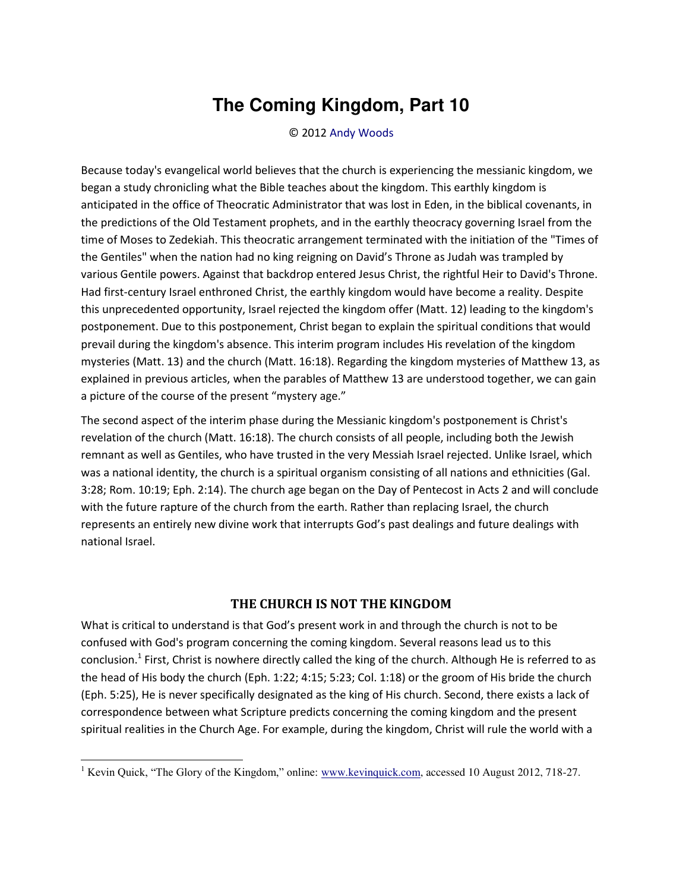## **The Coming Kingdom, Part 10**

© 2012 [Andy Woods](http://www.spiritandtruth.org/id/aw.htm) 

Because today's evangelical world believes that the church is experiencing the messianic kingdom, we began a study chronicling what the Bible teaches about the kingdom. This earthly kingdom is anticipated in the office of Theocratic Administrator that was lost in Eden, in the biblical covenants, in the predictions of the Old Testament prophets, and in the earthly theocracy governing Israel from the time of Moses to Zedekiah. This theocratic arrangement terminated with the initiation of the "Times of the Gentiles" when the nation had no king reigning on David's Throne as Judah was trampled by various Gentile powers. Against that backdrop entered Jesus Christ, the rightful Heir to David's Throne. Had first-century Israel enthroned Christ, the earthly kingdom would have become a reality. Despite this unprecedented opportunity, Israel rejected the kingdom offer (Matt. 12) leading to the kingdom's postponement. Due to this postponement, Christ began to explain the spiritual conditions that would prevail during the kingdom's absence. This interim program includes His revelation of the kingdom mysteries (Matt. 13) and the church (Matt. 16:18). Regarding the kingdom mysteries of Matthew 13, as explained in previous articles, when the parables of Matthew 13 are understood together, we can gain a picture of the course of the present "mystery age."

The second aspect of the interim phase during the Messianic kingdom's postponement is Christ's revelation of the church (Matt. 16:18). The church consists of all people, including both the Jewish remnant as well as Gentiles, who have trusted in the very Messiah Israel rejected. Unlike Israel, which was a national identity, the church is a spiritual organism consisting of all nations and ethnicities (Gal. 3:28; Rom. 10:19; Eph. 2:14). The church age began on the Day of Pentecost in Acts 2 and will conclude with the future rapture of the church from the earth. Rather than replacing Israel, the church represents an entirely new divine work that interrupts God's past dealings and future dealings with national Israel.

## **THE CHURCH IS NOT THE KINGDOM**

What is critical to understand is that God's present work in and through the church is not to be confused with God's program concerning the coming kingdom. Several reasons lead us to this conclusion.<sup>1</sup> First, Christ is nowhere directly called the king of the church. Although He is referred to as the head of His body the church (Eph. 1:22; 4:15; 5:23; Col. 1:18) or the groom of His bride the church (Eph. 5:25), He is never specifically designated as the king of His church. Second, there exists a lack of correspondence between what Scripture predicts concerning the coming kingdom and the present spiritual realities in the Church Age. For example, during the kingdom, Christ will rule the world with a

 $\overline{a}$ 

<sup>&</sup>lt;sup>1</sup> Kevin Quick, "The Glory of the Kingdom," online: [www.kevinquick.com,](http://www.soniclight.com/) accessed 10 August 2012, 718-27.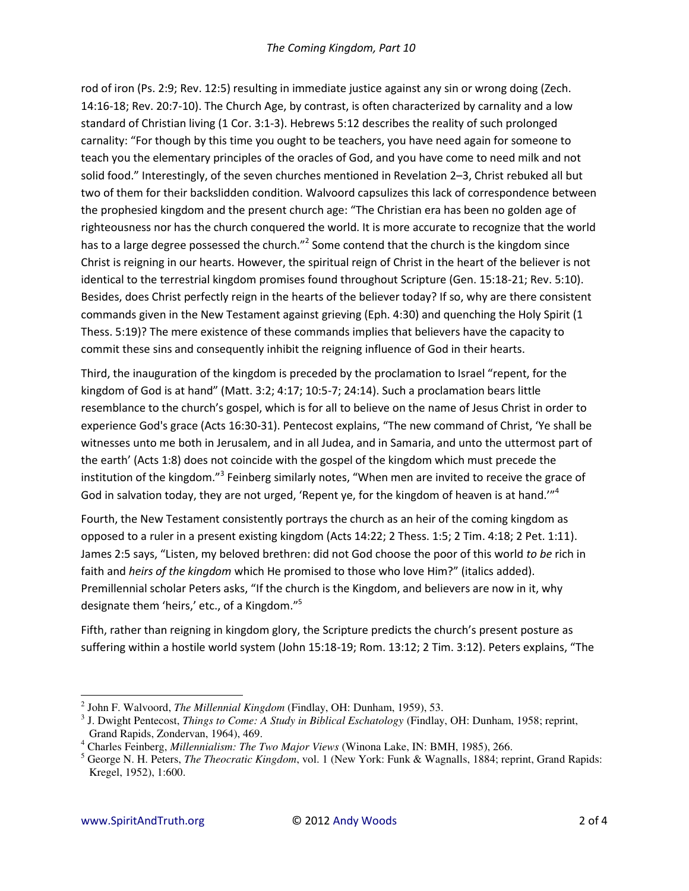rod of iron (Ps. 2:9; Rev. 12:5) resulting in immediate justice against any sin or wrong doing (Zech. 14:16-18; Rev. 20:7-10). The Church Age, by contrast, is often characterized by carnality and a low standard of Christian living (1 Cor. 3:1-3). Hebrews 5:12 describes the reality of such prolonged carnality: "For though by this time you ought to be teachers, you have need again for someone to teach you the elementary principles of the oracles of God, and you have come to need milk and not solid food.<sup>*''*</sup> Interestingly, of the seven churches mentioned in Revelation 2–3, Christ rebuked all but two of them for their backslidden condition. Walvoord capsulizes this lack of correspondence between the prophesied kingdom and the present church age: "The Christian era has been no golden age of righteousness nor has the church conquered the world. It is more accurate to recognize that the world has to a large degree possessed the church.<sup>12</sup> Some contend that the church is the kingdom since Christ is reigning in our hearts. However, the spiritual reign of Christ in the heart of the believer is not identical to the terrestrial kingdom promises found throughout Scripture (Gen. 15:18-21; Rev. 5:10). Besides, does Christ perfectly reign in the hearts of the believer today? If so, why are there consistent commands given in the New Testament against grieving (Eph. 4:30) and quenching the Holy Spirit (1 Thess. 5:19)? The mere existence of these commands implies that believers have the capacity to commit these sins and consequently inhibit the reigning influence of God in their hearts.

Third, the inauguration of the kingdom is preceded by the proclamation to Israel "repent, for the kingdom of God is at hand" (Matt.  $3:2; 4:17; 10:5-7; 24:14$ ). Such a proclamation bears little resemblance to the church's gospel, which is for all to believe on the name of Jesus Christ in order to experience God's grace (Acts 16:30-31). Pentecost explains, "The new command of Christ, 'Ye shall be witnesses unto me both in Jerusalem, and in all Judea, and in Samaria, and unto the uttermost part of the earth' (Acts 1:8) does not coincide with the gospel of the kingdom which must precede the institution of the kingdom.<sup>"3</sup> Feinberg similarly notes, "When men are invited to receive the grace of God in salvation today, they are not urged, 'Repent ye, for the kingdom of heaven is at hand.<sup>''<sup>4</sup></sup>

Fourth, the New Testament consistently portrays the church as an heir of the coming kingdom as opposed to a ruler in a present existing kingdom (Acts 14:22; 2 Thess. 1:5; 2 Tim. 4:18; 2 Pet. 1:11). James 2:5 says, "Listen, my beloved brethren: did not God choose the poor of this world *to be* rich in faith and *heirs of the kingdom* which He promised to those who love Him?<sup>*"*</sup> (italics added). Premillennial scholar Peters asks, "If the church is the Kingdom, and believers are now in it, why designate them 'heirs,' etc., of a Kingdom."<sup>5</sup>

Fifth, rather than reigning in kingdom glory, the Scripture predicts the church's present posture as suffering within a hostile world system (John 15:18-19; Rom. 13:12; 2 Tim. 3:12). Peters explains, "The

l

<sup>2</sup> John F. Walvoord, *The Millennial Kingdom* (Findlay, OH: Dunham, 1959), 53.

<sup>3</sup> J. Dwight Pentecost, *Things to Come: A Study in Biblical Eschatology* (Findlay, OH: Dunham, 1958; reprint, Grand Rapids, Zondervan, 1964), 469.

<sup>4</sup> Charles Feinberg, *Millennialism: The Two Major Views* (Winona Lake, IN: BMH, 1985), 266.

<sup>5</sup> George N. H. Peters, *The Theocratic Kingdom*, vol. 1 (New York: Funk & Wagnalls, 1884; reprint, Grand Rapids: Kregel, 1952), 1:600.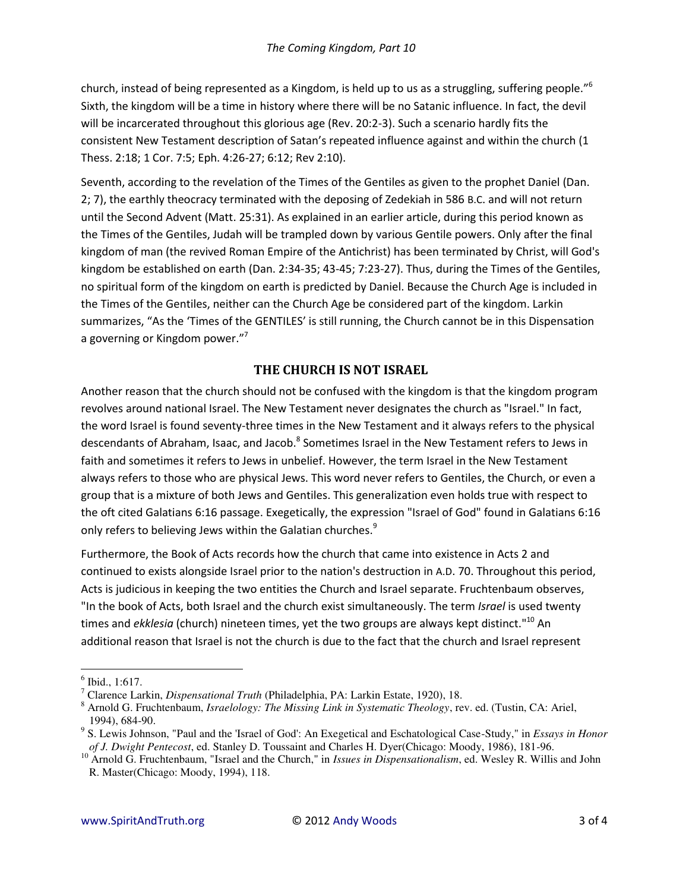church, instead of being represented as a Kingdom, is held up to us as a struggling, suffering people."<sup>6</sup> Sixth, the kingdom will be a time in history where there will be no Satanic influence. In fact, the devil will be incarcerated throughout this glorious age (Rev. 20:2-3). Such a scenario hardly fits the consistent New Testament description of Satan's repeated influence against and within the church (1 Thess. 2:18; 1 Cor. 7:5; Eph. 4:26-27; 6:12; Rev 2:10).

Seventh, according to the revelation of the Times of the Gentiles as given to the prophet Daniel (Dan. 2; 7), the earthly theocracy terminated with the deposing of Zedekiah in 586 B.C. and will not return until the Second Advent (Matt. 25:31). As explained in an earlier article, during this period known as the Times of the Gentiles, Judah will be trampled down by various Gentile powers. Only after the final kingdom of man (the revived Roman Empire of the Antichrist) has been terminated by Christ, will God's kingdom be established on earth (Dan. 2:34-35; 43-45; 7:23-27). Thus, during the Times of the Gentiles, no spiritual form of the kingdom on earth is predicted by Daniel. Because the Church Age is included in the Times of the Gentiles, neither can the Church Age be considered part of the kingdom. Larkin summarizes, "As the 'Times of the GENTILES' is still running, the Church cannot be in this Dispensation a governing or Kingdom power."<sup>7</sup>

## THE CHURCH IS NOT ISRAEL

Another reason that the church should not be confused with the kingdom is that the kingdom program revolves around national Israel. The New Testament never designates the church as "Israel." In fact, the word Israel is found seventy-three times in the New Testament and it always refers to the physical descendants of Abraham, Isaac, and Jacob.<sup>8</sup> Sometimes Israel in the New Testament refers to Jews in faith and sometimes it refers to Jews in unbelief. However, the term Israel in the New Testament always refers to those who are physical Jews. This word never refers to Gentiles, the Church, or even a group that is a mixture of both Jews and Gentiles. This generalization even holds true with respect to the oft cited Galatians 6:16 passage. Exegetically, the expression "Israel of God" found in Galatians 6:16 only refers to believing Jews within the Galatian churches.<sup>9</sup>

Furthermore, the Book of Acts records how the church that came into existence in Acts 2 and continued to exists alongside Israel prior to the nation's destruction in A.D. 70. Throughout this period, Acts is judicious in keeping the two entities the Church and Israel separate. Fruchtenbaum observes, "In the book of Acts, both Israel and the church exist simultaneously. The term Israel is used twenty times and ekklesia (church) nineteen times, yet the two groups are always kept distinct."<sup>10</sup> An additional reason that Israel is not the church is due to the fact that the church and Israel represent

 $<sup>6</sup>$  Ibid., 1:617.</sup>

<sup>&</sup>lt;sup>7</sup> Clarence Larkin, *Dispensational Truth* (Philadelphia, PA: Larkin Estate, 1920), 18.

<sup>&</sup>lt;sup>8</sup> Arnold G. Fruchtenbaum, *Israelology: The Missing Link in Systematic Theology*, rev. ed. (Tustin, CA: Ariel, 1994), 684-90.

<sup>&</sup>lt;sup>9</sup> S. Lewis Johnson, "Paul and the 'Israel of God': An Exegetical and Eschatological Case-Study," in *Essays in Honor* of J. Dwight Pentecost, ed. Stanley D. Toussaint and Charles H. Dyer(Chicago: Moody, 1986), 181-96.

 $10$  Arnold G. Fruchtenbaum, "Israel and the Church," in *Issues in Dispensationalism*, ed. Wesley R. Willis and John R. Master(Chicago: Moody, 1994), 118.